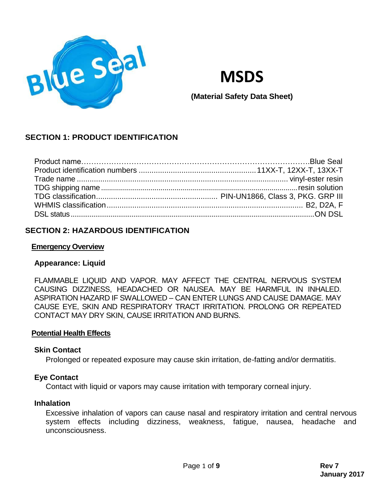

# **MSDS**

**(Material Safety Data Sheet)**

# **SECTION 1: PRODUCT IDENTIFICATION**

# **SECTION 2: HAZARDOUS IDENTIFICATION**

## **Emergency Overview**

# **Appearance: Liquid**

FLAMMABLE LIQUID AND VAPOR. MAY AFFECT THE CENTRAL NERVOUS SYSTEM CAUSING DIZZINESS, HEADACHED OR NAUSEA. MAY BE HARMFUL IN INHALED. ASPIRATION HAZARD IF SWALLOWED – CAN ENTER LUNGS AND CAUSE DAMAGE. MAY CAUSE EYE, SKIN AND RESPIRATORY TRACT IRRITATION. PROLONG OR REPEATED CONTACT MAY DRY SKIN, CAUSE IRRITATION AND BURNS.

# **Potential Health Effects**

#### **Skin Contact**

Prolonged or repeated exposure may cause skin irritation, de-fatting and/or dermatitis.

# **Eye Contact**

Contact with liquid or vapors may cause irritation with temporary corneal injury.

#### **Inhalation**

Excessive inhalation of vapors can cause nasal and respiratory irritation and central nervous system effects including dizziness, weakness, fatigue, nausea, headache and unconsciousness.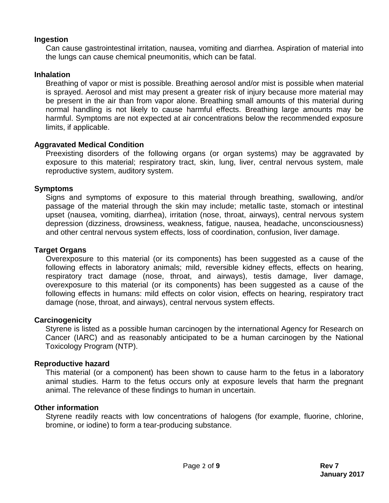## **Ingestion**

Can cause gastrointestinal irritation, nausea, vomiting and diarrhea. Aspiration of material into the lungs can cause chemical pneumonitis, which can be fatal.

## **Inhalation**

Breathing of vapor or mist is possible. Breathing aerosol and/or mist is possible when material is sprayed. Aerosol and mist may present a greater risk of injury because more material may be present in the air than from vapor alone. Breathing small amounts of this material during normal handling is not likely to cause harmful effects. Breathing large amounts may be harmful. Symptoms are not expected at air concentrations below the recommended exposure limits, if applicable.

## **Aggravated Medical Condition**

Preexisting disorders of the following organs (or organ systems) may be aggravated by exposure to this material; respiratory tract, skin, lung, liver, central nervous system, male reproductive system, auditory system.

#### **Symptoms**

Signs and symptoms of exposure to this material through breathing, swallowing, and/or passage of the material through the skin may include; metallic taste, stomach or intestinal upset (nausea, vomiting, diarrhea), irritation (nose, throat, airways), central nervous system depression (dizziness, drowsiness, weakness, fatigue, nausea, headache, unconsciousness) and other central nervous system effects, loss of coordination, confusion, liver damage.

#### **Target Organs**

Overexposure to this material (or its components) has been suggested as a cause of the following effects in laboratory animals; mild, reversible kidney effects, effects on hearing, respiratory tract damage (nose, throat, and airways), testis damage, liver damage, overexposure to this material (or its components) has been suggested as a cause of the following effects in humans: mild effects on color vision, effects on hearing, respiratory tract damage (nose, throat, and airways), central nervous system effects.

#### **Carcinogenicity**

Styrene is listed as a possible human carcinogen by the international Agency for Research on Cancer (IARC) and as reasonably anticipated to be a human carcinogen by the National Toxicology Program (NTP).

#### **Reproductive hazard**

This material (or a component) has been shown to cause harm to the fetus in a laboratory animal studies. Harm to the fetus occurs only at exposure levels that harm the pregnant animal. The relevance of these findings to human in uncertain.

#### **Other information**

Styrene readily reacts with low concentrations of halogens (for example, fluorine, chlorine, bromine, or iodine) to form a tear-producing substance.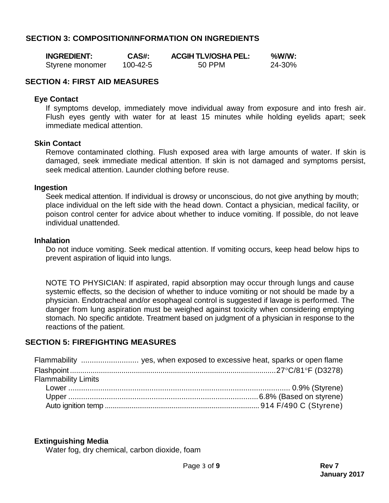## **SECTION 3: COMPOSITION/INFORMATION ON INGREDIENTS**

| <b>INGREDIENT:</b> | CAS#:    | <b>ACGIH TLV/OSHA PEL:</b> | $%$ W/W: |
|--------------------|----------|----------------------------|----------|
| Styrene monomer    | 100-42-5 | 50 PPM                     | 24-30%   |

## **SECTION 4: FIRST AID MEASURES**

#### **Eye Contact**

If symptoms develop, immediately move individual away from exposure and into fresh air. Flush eyes gently with water for at least 15 minutes while holding eyelids apart; seek immediate medical attention.

#### **Skin Contact**

Remove contaminated clothing. Flush exposed area with large amounts of water. If skin is damaged, seek immediate medical attention. If skin is not damaged and symptoms persist, seek medical attention. Launder clothing before reuse.

#### **Ingestion**

Seek medical attention. If individual is drowsy or unconscious, do not give anything by mouth; place individual on the left side with the head down. Contact a physician, medical facility, or poison control center for advice about whether to induce vomiting. If possible, do not leave individual unattended.

#### **Inhalation**

Do not induce vomiting. Seek medical attention. If vomiting occurs, keep head below hips to prevent aspiration of liquid into lungs.

NOTE TO PHYSICIAN: If aspirated, rapid absorption may occur through lungs and cause systemic effects, so the decision of whether to induce vomiting or not should be made by a physician. Endotracheal and/or esophageal control is suggested if lavage is performed. The danger from lung aspiration must be weighed against toxicity when considering emptying stomach. No specific antidote. Treatment based on judgment of a physician in response to the reactions of the patient.

#### **SECTION 5: FIREFIGHTING MEASURES**

| <b>Flammability Limits</b> |  |
|----------------------------|--|
|                            |  |
|                            |  |
|                            |  |

#### **Extinguishing Media**

Water fog, dry chemical, carbon dioxide, foam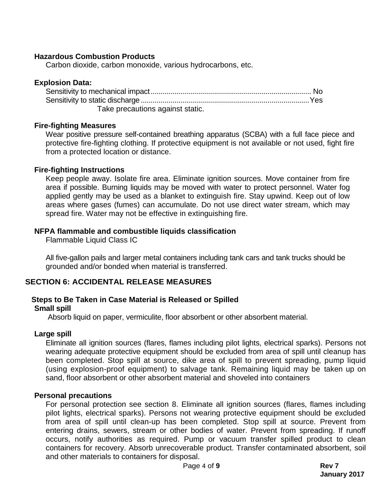#### **Hazardous Combustion Products**

Carbon dioxide, carbon monoxide, various hydrocarbons, etc.

#### **Explosion Data:**

| Take precautions against static. |  |
|----------------------------------|--|

#### **Fire-fighting Measures**

Wear positive pressure self-contained breathing apparatus (SCBA) with a full face piece and protective fire-fighting clothing. If protective equipment is not available or not used, fight fire from a protected location or distance.

#### **Fire-fighting Instructions**

Keep people away. Isolate fire area. Eliminate ignition sources. Move container from fire area if possible. Burning liquids may be moved with water to protect personnel. Water fog applied gently may be used as a blanket to extinguish fire. Stay upwind. Keep out of low areas where gases (fumes) can accumulate. Do not use direct water stream, which may spread fire. Water may not be effective in extinguishing fire.

#### **NFPA flammable and combustible liquids classification**

Flammable Liquid Class IC

All five-gallon pails and larger metal containers including tank cars and tank trucks should be grounded and/or bonded when material is transferred.

#### **SECTION 6: ACCIDENTAL RELEASE MEASURES**

#### **Steps to Be Taken in Case Material is Released or Spilled Small spill**

Absorb liquid on paper, vermiculite, floor absorbent or other absorbent material.

#### **Large spill**

Eliminate all ignition sources (flares, flames including pilot lights, electrical sparks). Persons not wearing adequate protective equipment should be excluded from area of spill until cleanup has been completed. Stop spill at source, dike area of spill to prevent spreading, pump liquid (using explosion-proof equipment) to salvage tank. Remaining liquid may be taken up on sand, floor absorbent or other absorbent material and shoveled into containers

#### **Personal precautions**

For personal protection see section 8. Eliminate all ignition sources (flares, flames including pilot lights, electrical sparks). Persons not wearing protective equipment should be excluded from area of spill until clean-up has been completed. Stop spill at source. Prevent from entering drains, sewers, stream or other bodies of water. Prevent from spreading. If runoff occurs, notify authorities as required. Pump or vacuum transfer spilled product to clean containers for recovery. Absorb unrecoverable product. Transfer contaminated absorbent, soil and other materials to containers for disposal.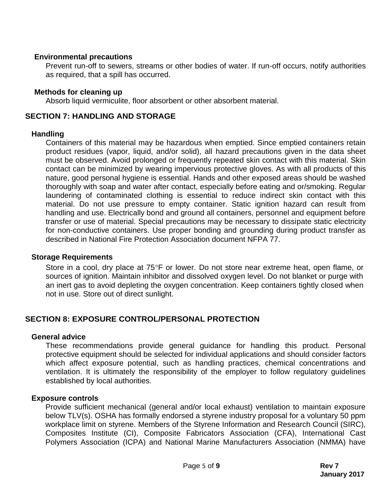## **Environmental precautions**

Prevent run-off to sewers, streams or other bodies of water. If run-off occurs, notify authorities as required, that a spill has occurred.

## **Methods for cleaning up**

Absorb liquid vermiculite, floor absorbent or other absorbent material.

# **SECTION 7: HANDLING AND STORAGE**

## **Handling**

Containers of this material may be hazardous when emptied. Since emptied containers retain product residues (vapor, liquid, and/or solid), all hazard precautions given in the data sheet must be observed. Avoid prolonged or frequently repeated skin contact with this material. Skin contact can be minimized by wearing impervious protective gloves. As with all products of this nature, good personal hygiene is essential. Hands and other exposed areas should be washed thoroughly with soap and water after contact, especially before eating and or/smoking. Regular laundering of contaminated clothing is essential to reduce indirect skin contact with this material. Do not use pressure to empty container. Static ignition hazard can result from handling and use. Electrically bond and ground all containers, personnel and equipment before transfer or use of material. Special precautions may be necessary to dissipate static electricity for non-conductive containers. Use proper bonding and grounding during product transfer as described in National Fire Protection Association document NFPA 77.

#### **Storage Requirements**

Store in a cool, dry place at  $75^{\circ}$ F or lower. Do not store near extreme heat, open flame, or sources of ignition. Maintain inhibitor and dissolved oxygen level. Do not blanket or purge with an inert gas to avoid depleting the oxygen concentration. Keep containers tightly closed when not in use. Store out of direct sunlight.

# **SECTION 8: EXPOSURE CONTROL/PERSONAL PROTECTION**

#### **General advice**

These recommendations provide general guidance for handling this product. Personal protective equipment should be selected for individual applications and should consider factors which affect exposure potential, such as handling practices, chemical concentrations and ventilation. It is ultimately the responsibility of the employer to follow regulatory guidelines established by local authorities.

#### **Exposure controls**

Provide sufficient mechanical (general and/or local exhaust) ventilation to maintain exposure below TLV(s). OSHA has formally endorsed a styrene industry proposal for a voluntary 50 ppm workplace limit on styrene. Members of the Styrene Information and Research Council (SIRC), Composites Institute (CI), Composite Fabricators Association (CFA), International Cast Polymers Association (ICPA) and National Marine Manufacturers Association (NMMA) have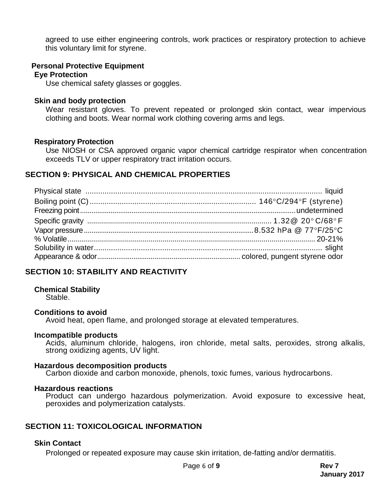agreed to use either engineering controls, work practices or respiratory protection to achieve this voluntary limit for styrene.

# **Personal Protective Equipment**

#### **Eye Protection**

Use chemical safety glasses or goggles.

#### **Skin and body protection**

Wear resistant gloves. To prevent repeated or prolonged skin contact, wear impervious clothing and boots. Wear normal work clothing covering arms and legs.

#### **Respiratory Protection**

Use NIOSH or CSA approved organic vapor chemical cartridge respirator when concentration exceeds TLV or upper respiratory tract irritation occurs.

# **SECTION 9: PHYSICAL AND CHEMICAL PROPERTIES**

# **SECTION 10: STABILITY AND REACTIVITY**

#### **Chemical Stability**

Stable.

**Conditions to avoid** Avoid heat, open flame, and prolonged storage at elevated temperatures.

#### **Incompatible products**

Acids, aluminum chloride, halogens, iron chloride, metal salts, peroxides, strong alkalis, strong oxidizing agents, UV light.

#### **Hazardous decomposition products**

Carbon dioxide and carbon monoxide, phenols, toxic fumes, various hydrocarbons.

#### **Hazardous reactions**

Product can undergo hazardous polymerization. Avoid exposure to excessive heat, peroxides and polymerization catalysts.

# **SECTION 11: TOXICOLOGICAL INFORMATION**

#### **Skin Contact**

Prolonged or repeated exposure may cause skin irritation, de-fatting and/or dermatitis.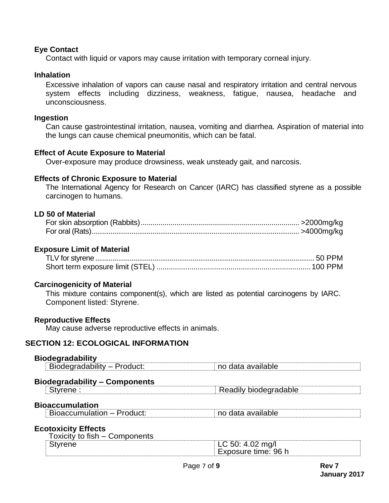## **Eye Contact**

Contact with liquid or vapors may cause irritation with temporary corneal injury.

#### **Inhalation**

Excessive inhalation of vapors can cause nasal and respiratory irritation and central nervous system effects including dizziness, weakness, fatigue, nausea, headache and unconsciousness.

#### **Ingestion**

Can cause gastrointestinal irritation, nausea, vomiting and diarrhea. Aspiration of material into the lungs can cause chemical pneumonitis, which can be fatal.

#### **Effect of Acute Exposure to Material**

Over-exposure may produce drowsiness, weak unsteady gait, and narcosis.

#### **Effects of Chronic Exposure to Material**

The International Agency for Research on Cancer (IARC) has classified styrene as a possible carcinogen to humans.

#### **LD 50 of Material**

## **Exposure Limit of Material**

#### **Carcinogenicity of Material**

This mixture contains component(s), which are listed as potential carcinogens by IARC. Component listed: Styrene.

#### **Reproductive Effects**

May cause adverse reproductive effects in animals.

# **SECTION 12: ECOLOGICAL INFORMATION**

| <b>Biodegradability</b>                                     |                       |  |
|-------------------------------------------------------------|-----------------------|--|
| Biodegradability - Product:                                 | no data available     |  |
| <b>Biodegradability - Components</b>                        |                       |  |
| Styrene:                                                    | Readily biodegradable |  |
| <b>Bioaccumulation</b>                                      |                       |  |
| Bioaccumulation - Product:                                  | no data available     |  |
| <b>Ecotoxicity Effects</b><br>Toxicity to fish - Components |                       |  |
| Styrene                                                     | $IC.50:4.02$ mall     |  |

| ∽.<br>.<br>. .<br> |
|--------------------|
| -96.<br>_<br>.     |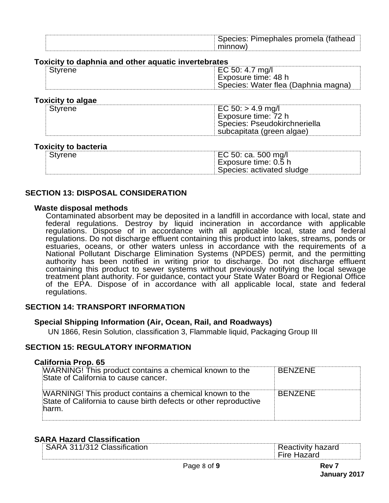| --                                                 |
|----------------------------------------------------|
| aes:<br>Snei<br>эı<br>ieac<br>omera<br>צםו<br>' l∈ |
|                                                    |
| <b>IW</b>                                          |
|                                                    |

#### **Toxicity to daphnia and other aquatic invertebrates** Styrene EC 50: 4.7 mg/l Exposure time: 48 h Species: Water flea (Daphnia magna)

#### **Toxicity to algae**

| <b>Styrene</b> | EC 50: $> 4.9$ mg/l                       |
|----------------|-------------------------------------------|
|                | Exposure time: 72 h                       |
|                | <sup>s</sup> Species: Pseudokirchneriella |
|                | subcapitata (green algae)                 |
|                |                                           |

#### **Toxicity to bacteria**

| ________________ |                           |  |
|------------------|---------------------------|--|
| stvrene          | EC 50: ca. 500 mg/l       |  |
|                  | Exposure time: 0.5 h      |  |
|                  | Species: activated sludge |  |
|                  |                           |  |

# **SECTION 13: DISPOSAL CONSIDERATION**

#### **Waste disposal methods**

Contaminated absorbent may be deposited in a landfill in accordance with local, state and federal regulations. Destroy by liquid incineration in accordance with applicable regulations. Dispose of in accordance with all applicable local, state and federal regulations. Do not discharge effluent containing this product into lakes, streams, ponds or estuaries, oceans, or other waters unless in accordance with the requirements of a National Pollutant Discharge Elimination Systems (NPDES) permit, and the permitting authority has been notified in writing prior to discharge. Do not discharge effluent containing this product to sewer systems without previously notifying the local sewage treatment plant authority. For guidance, contact your State Water Board or Regional Office of the EPA. Dispose of in accordance with all applicable local, state and federal regulations.

#### **SECTION 14: TRANSPORT INFORMATION**

#### **Special Shipping Information (Air, Ocean, Rail, and Roadways)**

UN 1866, Resin Solution, classification 3, Flammable liquid, Packaging Group III

#### **SECTION 15: REGULATORY INFORMATION**

#### **California Prop. 65**

| WARNING! This product contains a chemical known to the<br>State of California to cause cancer.                                      | <b>BENZENE</b> |
|-------------------------------------------------------------------------------------------------------------------------------------|----------------|
| WARNING! This product contains a chemical known to the<br>State of California to cause birth defects or other reproductive<br>harm. | <b>BENZENE</b> |

#### **SARA Hazard Classification**

| .<br><b>Contract Contract Contract Contract</b><br>∸ | livitv<br>. . |
|------------------------------------------------------|---------------|
|                                                      | --<br>.<br>   |
|                                                      |               |